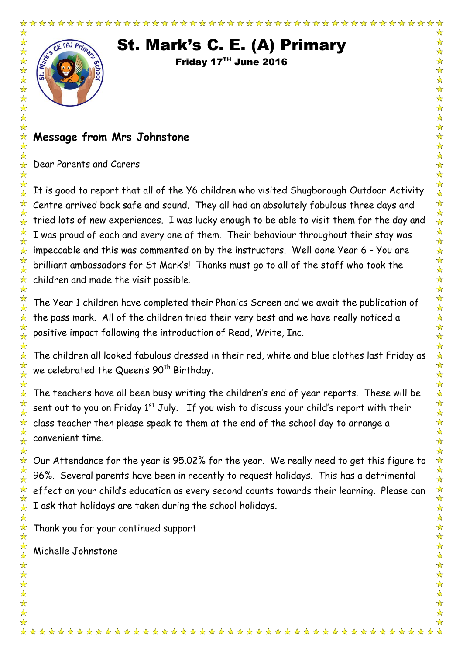☆

☆☆☆☆☆☆☆☆☆☆☆☆☆

 $\frac{1}{\sqrt{2}}$  $\frac{1}{\sqrt{2}}$  $\frac{1}{\mathcal{N}}$  $\frac{1}{\sqrt{2}}$  $\frac{1}{\sqrt{2}}$  $\frac{1}{\sqrt{2}}$ 

☆ ☆  $\frac{1}{\sqrt{2}}$ ☆  $\frac{1}{\sqrt{2}}$  $\frac{1}{2}$ ☆  $\frac{1}{\sqrt{2}}$  $\frac{1}{\sqrt{2}}$ ☆ ☆ ☆  $\frac{1}{\sqrt{2}}$ ☆  $\frac{1}{\sqrt{2}}$  $\frac{1}{\lambda}$ ☆ ☆  $\frac{1}{\sqrt{2}}$ ☆ ☆ ☆  $\frac{1}{\sqrt{2}}$ ☆  $\frac{1}{\sqrt{2}}$  $\frac{1}{\mathcal{N}}$  $\frac{1}{\mathcal{N}}$  $\frac{1}{\sqrt{2}}$ ☆  $\frac{\lambda}{\lambda}$ 

☆ ☆  $\frac{1}{\sqrt{2}}$  $\frac{1}{\sqrt{2}}$ ☆  $\frac{1}{\sqrt{2}}$ 

计公式设计设计

 $\frac{1}{\sqrt{2}}$ 

# St. Mark's C. E. (A) Primary

Friday 17TH June 2016

## **Message from Mrs Johnstone**

Dear Parents and Carers

It is good to report that all of the Y6 children who visited Shugborough Outdoor Activity Centre arrived back safe and sound. They all had an absolutely fabulous three days and tried lots of new experiences. I was lucky enough to be able to visit them for the day and I was proud of each and every one of them. Their behaviour throughout their stay was impeccable and this was commented on by the instructors. Well done Year 6 – You are brilliant ambassadors for St Mark's! Thanks must go to all of the staff who took the children and made the visit possible.

The Year 1 children have completed their Phonics Screen and we await the publication of the pass mark. All of the children tried their very best and we have really noticed a positive impact following the introduction of Read, Write, Inc.

The children all looked fabulous dressed in their red, white and blue clothes last Friday as we celebrated the Queen's  $90<sup>th</sup>$  Birthday.

The teachers have all been busy writing the children's end of year reports. These will be sent out to you on Friday 1<sup>st</sup> July. If you wish to discuss your child's report with their class teacher then please speak to them at the end of the school day to arrange a convenient time.

Our Attendance for the year is 95.02% for the year. We really need to get this figure to 96%. Several parents have been in recently to request holidays. This has a detrimental effect on your child's education as every second counts towards their learning. Please can I ask that holidays are taken during the school holidays.

Thank you for your continued support

Michelle Johnstone